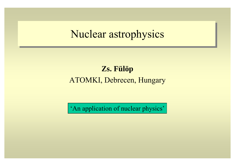## Nuclear astrophysics

### **Zs. Fülöp** ATOMKI, Debrecen, Hungary

'An application of nuclear physics'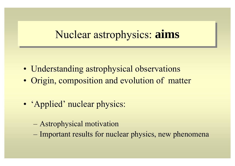## Nuclear astrophysics: **aims**

- Understanding astrophysical observations
- Origin, composition and evolution of matter
- 'Applied' nuclear physics:
	- Astrophysical motivation
	- Important results for nuclear physics, new phenomena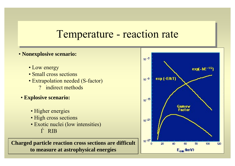### Temperature - reaction rate

#### • **Nonexplosive scenario:**

- Low energy
- Small cross sections
- Extrapolation needed (S-factor)
	- ? indirect methods
- **Explosive scenario:**
	- Higher energies
	- High cross sections
	- Exotic nuclei (low intensities) Ѓ RIB

**Charged particle reaction cross sections are difficult to measure at astrophysical energies**

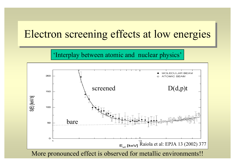## Electron screening effects at low energies

'Interplay between atomic and nuclear physics'

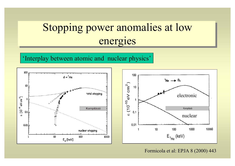# Stopping power anomalies at low energies

'Interplay between atomic and nuclear physics'



Formicola et al: EPJA 8 (2000) 443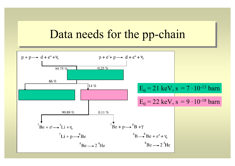## Data needs for the pp-chain

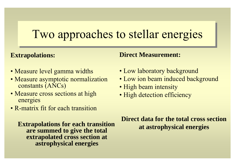# Two approaches to stellar energies

#### **Extrapolations:**

### **Direct Measurement:**

- Measure level gamma widths
- Measure asymptotic normalization constants (ANCs)
- Measure cross sections at high energies
- R-matrix fit for each transition

**Extrapolations for each transition are summed to give the total extrapolated cross section at astrophysical energies**

• Low laboratory background

- Low ion beam induced background
- High beam intensity
- High detection efficiency

**Direct data for the total cross sectionat astrophysical energies**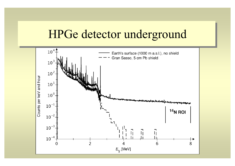## HPGe detector underground

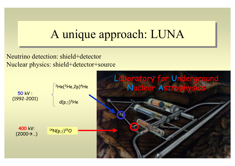# A unique approach: LUNA

Neutrino detection: shield+detector Nuclear physics: shield+detector+source

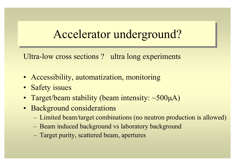# Accelerator underground?

Ultra-low cross sections? ultra long experiments

- Accessibility, automatization, monitoring
- Safety issues
- Target/beam stability (beam intensity: ~500µA)
- Background considerations
	- Limited beam/target combinations (no neutron production is allowed)
	- Beam induced background vs laboratory background
	- Target purity, scattered beam, apertures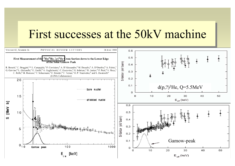## First successes at the 50kV machine

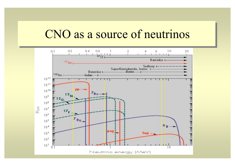## CNO as a source of neutrinos

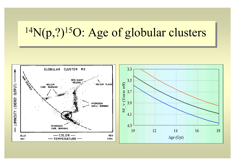# <sup>14</sup>N(p,?)<sup>15</sup>O: Age of globular clusters

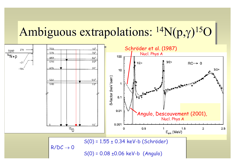# Ambiguous extrapolations:  $^{14}N(p,y)^{15}O$

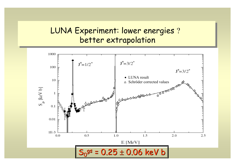### LUNA Experiment: lower energies ? better extrapolation

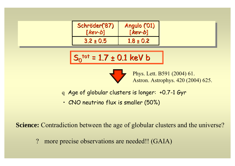| Schröder('87) | Angulo ('01)  |
|---------------|---------------|
| $[kev-b]$     | $[kev-b]$     |
| $3.2 \pm 0.5$ | $1.8 \pm 0.2$ |

$$
S_0^{\text{tot}} = 1.7 \pm 0.1 \text{ keV b}
$$



Phys. Lett. B591 (2004) 61. Astron. Astrophys. 420 (2004) 625.

- <sup>q</sup> Age of globular clusters is longer: +0.7-1 Gyr
- CNO neutrino flux is smaller (50%)

**Science:** Contradiction between the age of globular clusters and the universe?

? more precise observations are needed!! (GAIA)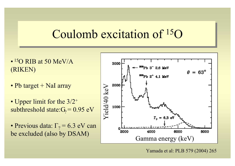## Coulomb excitation of 15 O

- $\bullet$  <sup>15</sup>O RIB at 50 MeV/A (RIKEN)
- Pb target + NaI array
- Upper limit for the 3/2<sup>+</sup> subthreshold state: $G_2 = 0.95$  eV
- Previous data:  $\Gamma_2$  = 6.3 eV can



Yamada et al: PLB 579 (2004) 265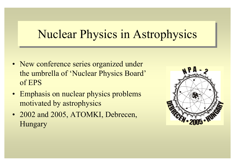# Nuclear Physics in Astrophysics

- New conference series organized under the umbrella of 'Nuclear Physics Board' of EPS
- Emphasis on nuclear physics problems motivated by astrophysics
- 2002 and 2005, ATOMKI, Debrecen, Hungary